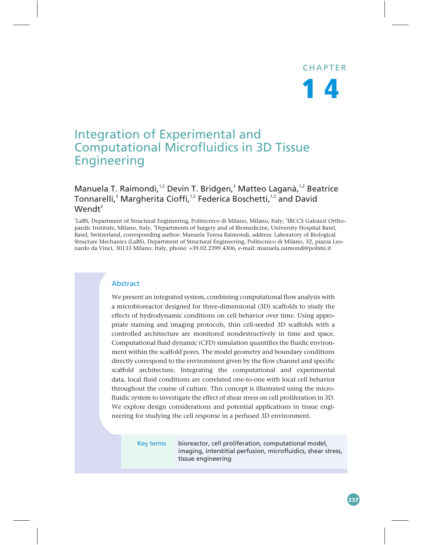CHAPTER **1 4**

# Integration of Experimental and Computational Microfluidics in 3D Tissue Engineering

# Manuela T. Raimondi,<sup>1,2</sup> Devin T. Bridgen,<sup>3</sup> Matteo Laganà,<sup>1,2</sup> Beatrice Tonnarelli,<sup>3</sup> Margherita Cioffi,<sup>1,2</sup> Federica Boschetti,<sup>1,2</sup> and David Wend $t^3$

<sup>1</sup>LaBS, Department of Structural Engineering, Politecnico di Milano, Milano, Italy, <sup>2</sup>IRCCS Galeazzi Orthopaedic Institute, Milano, Italy, <sup>3</sup>Departments of Surgery and of Biomedicine, University Hospital Basel, Basel, Switzerland, corresponding author: Manuela Teresa Raimondi, address: Laboratory of Biological Structure Mechanics (LaBS), Department of Structural Engineering, Politecnico di Milano, 32, piazza Leonardo da Vinci, 30133 Milano, Italy, phone: +39.02.2399.4306, e-mail: manuela.raimondi@polimi.it

## **Abstract**

We present an integrated system, combining computational flow analysis with a microbioreactor designed for three-dimensional (3D) scaffolds to study the effects of hydrodynamic conditions on cell behavior over time. Using appropriate staining and imaging protocols, thin cell-seeded 3D scaffolds with a controlled architecture are monitored nondestructively in time and space. Computational fluid dynamic (CFD) simulation quantifies the fluidic environment within the scaffold pores. The model geometry and boundary conditions directly correspond to the environment given by the flow channel and specific scaffold architecture. Integrating the computational and experimental data, local fluid conditions are correlated one-to-one with local cell behavior throughout the course of culture. This concept is illustrated using the microfluidic system to investigate the effect of shear stress on cell proliferation in 3D. We explore design considerations and potential applications in tissue engineering for studying the cell response in a perfused 3D environment.

Key terms bioreactor, cell proliferation, computational model, imaging, interstitial perfusion, microfluidics, shear stress, tissue engineering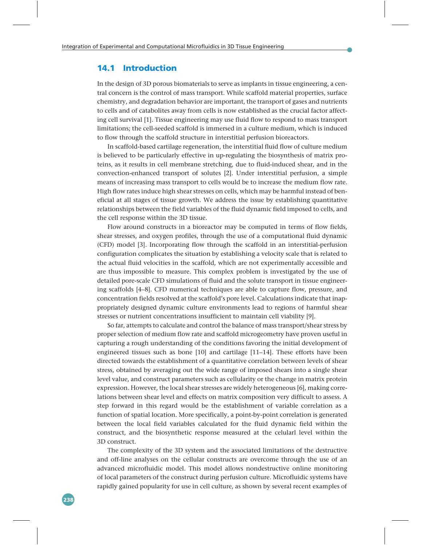## **14.1 Introduction**

In the design of 3D porous biomaterials to serve as implants in tissue engineering, a central concern is the control of mass transport. While scaffold material properties, surface chemistry, and degradation behavior are important, the transport of gases and nutrients to cells and of catabolites away from cells is now established as the crucial factor affecting cell survival [1]. Tissue engineering may use fluid flow to respond to mass transport limitations; the cell-seeded scaffold is immersed in a culture medium, which is induced to flow through the scaffold structure in interstitial perfusion bioreactors.

In scaffold-based cartilage regeneration, the interstitial fluid flow of culture medium is believed to be particularly effective in up-regulating the biosynthesis of matrix proteins, as it results in cell membrane stretching, due to fluid-induced shear, and in the convection-enhanced transport of solutes [2]. Under interstitial perfusion, a simple means of increasing mass transport to cells would be to increase the medium flow rate. High flow rates induce high shear stresses on cells, which may be harmful instead of beneficial at all stages of tissue growth. We address the issue by establishing quantitative relationships between the field variables of the fluid dynamic field imposed to cells, and the cell response within the 3D tissue.

Flow around constructs in a bioreactor may be computed in terms of flow fields, shear stresses, and oxygen profiles, through the use of a computational fluid dynamic (CFD) model [3]. Incorporating flow through the scaffold in an interstitial-perfusion configuration complicates the situation by establishing a velocity scale that is related to the actual fluid velocities in the scaffold, which are not experimentally accessible and are thus impossible to measure. This complex problem is investigated by the use of detailed pore-scale CFD simulations of fluid and the solute transport in tissue engineering scaffolds [4–8]. CFD numerical techniques are able to capture flow, pressure, and concentration fields resolved at the scaffold's pore level. Calculations indicate that inappropriately designed dynamic culture environments lead to regions of harmful shear stresses or nutrient concentrations insufficient to maintain cell viability [9].

So far, attempts to calculate and control the balance of mass transport/shear stress by proper selection of medium flow rate and scaffold microgeometry have proven useful in capturing a rough understanding of the conditions favoring the initial development of engineered tissues such as bone [10] and cartilage [11–14]. These efforts have been directed towards the establishment of a quantitative correlation between levels of shear stress, obtained by averaging out the wide range of imposed shears into a single shear level value, and construct parameters such as cellularity or the change in matrix protein expression. However, the local shear stresses are widely heterogeneous [6], making correlations between shear level and effects on matrix composition very difficult to assess. A step forward in this regard would be the establishment of variable correlation as a function of spatial location. More specifically, a point-by-point correlation is generated between the local field variables calculated for the fluid dynamic field within the construct, and the biosynthetic response measured at the celularl level within the 3D construct.

The complexity of the 3D system and the associated limitations of the destructive and off-line analyses on the cellular constructs are overcome through the use of an advanced microfluidic model. This model allows nondestructive online monitoring of local parameters of the construct during perfusion culture. Microfluidic systems have rapidly gained popularity for use in cell culture, as shown by several recent examples of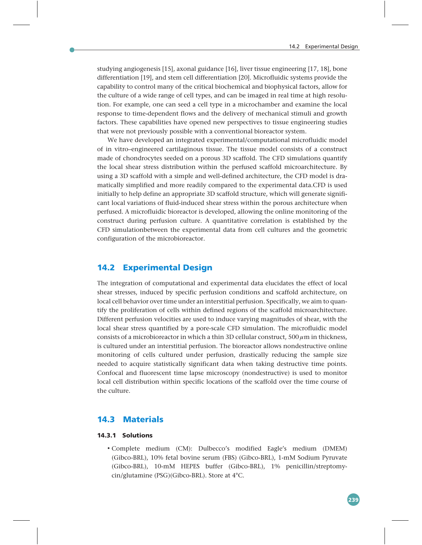studying angiogenesis [15], axonal guidance [16], liver tissue engineering [17, 18], bone differentiation [19], and stem cell differentiation [20]. Microfluidic systems provide the capability to control many of the critical biochemical and biophysical factors, allow for the culture of a wide range of cell types, and can be imaged in real time at high resolution. For example, one can seed a cell type in a microchamber and examine the local response to time-dependent flows and the delivery of mechanical stimuli and growth factors. These capabilities have opened new perspectives to tissue engineering studies that were not previously possible with a conventional bioreactor system.

We have developed an integrated experimental/computational microfluidic model of in vitro–engineered cartilaginous tissue. The tissue model consists of a construct made of chondrocytes seeded on a porous 3D scaffold. The CFD simulations quantify the local shear stress distribution within the perfused scaffold microarchitecture. By using a 3D scaffold with a simple and well-defined architecture, the CFD model is dramatically simplified and more readily compared to the experimental data.CFD is used initially to help define an appropriate 3D scaffold structure, which will generate significant local variations of fluid-induced shear stress within the porous architecture when perfused. A microfluidic bioreactor is developed, allowing the online monitoring of the construct during perfusion culture. A quantitative correlation is established by the CFD simulationbetween the experimental data from cell cultures and the geometric configuration of the microbioreactor.

## **14.2 Experimental Design**

The integration of computational and experimental data elucidates the effect of local shear stresses, induced by specific perfusion conditions and scaffold architecture, on local cell behavior over time under an interstitial perfusion. Specifically, we aim to quantify the proliferation of cells within defined regions of the scaffold microarchitecture. Different perfusion velocities are used to induce varying magnitudes of shear, with the local shear stress quantified by a pore-scale CFD simulation. The microfluidic model consists of a microbioreactor in which a thin 3D cellular construct,  $500 \mu m$  in thickness, is cultured under an interstitial perfusion. The bioreactor allows nondestructive online monitoring of cells cultured under perfusion, drastically reducing the sample size needed to acquire statistically significant data when taking destructive time points. Confocal and fluorescent time lapse microscopy (nondestructive) is used to monitor local cell distribution within specific locations of the scaffold over the time course of the culture.

# **14.3 Materials**

#### **14.3.1 Solutions**

• Complete medium (CM): Dulbecco's modified Eagle's medium (DMEM) (Gibco-BRL), 10% fetal bovine serum (FBS) (Gibco-BRL), 1-mM Sodium Pyruvate (Gibco-BRL), 10-mM HEPES buffer (Gibco-BRL), 1% penicillin/streptomycin/glutamine (PSG)(Gibco-BRL). Store at 4°C.

**239**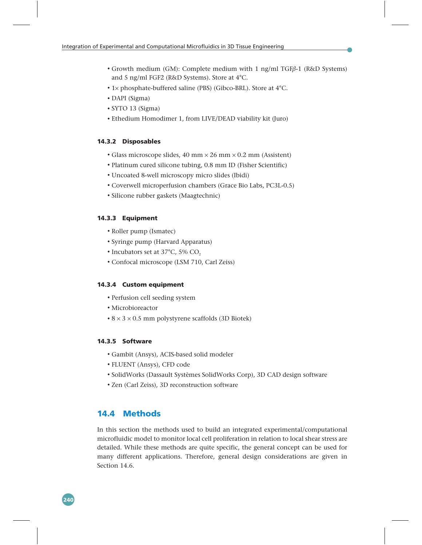- Growth medium (GM): Complete medium with 1 ng/ml TGFβ-1 (R&D Systems) and 5 ng/ml FGF2 (R&D Systems). Store at 4°C.
- 1× phosphate-buffered saline (PBS) (Gibco-BRL). Store at 4°C.
- DAPI (Sigma)
- SYTO 13 (Sigma)
- Ethedium Homodimer 1, from LIVE/DEAD viability kit (Juro)

#### **14.3.2 Disposables**

- Glass microscope slides, 40 mm  $\times$  26 mm  $\times$  0.2 mm (Assistent)
- Platinum cured silicone tubing, 0.8 mm ID (Fisher Scientific)
- Uncoated 8-well microscopy micro slides (Ibidi)
- Coverwell microperfusion chambers (Grace Bio Labs, PC3L-0.5)
- Silicone rubber gaskets (Maagtechnic)

#### **14.3.3 Equipment**

- Roller pump (Ismatec)
- Syringe pump (Harvard Apparatus)
- Incubators set at 37°C, 5% CO<sub>2</sub>
- Confocal microscope (LSM 710, Carl Zeiss)

#### **14.3.4 Custom equipment**

- Perfusion cell seeding system
- Microbioreactor
- $8 \times 3 \times 0.5$  mm polystyrene scaffolds (3D Biotek)

## **14.3.5 Software**

- Gambit (Ansys), ACIS-based solid modeler
- FLUENT (Ansys), CFD code
- SolidWorks (Dassault Systèmes SolidWorks Corp), 3D CAD design software
- Zen (Carl Zeiss), 3D reconstruction software

# **14.4 Methods**

In this section the methods used to build an integrated experimental/computational microfluidic model to monitor local cell proliferation in relation to local shear stress are detailed. While these methods are quite specific, the general concept can be used for many different applications. Therefore, general design considerations are given in Section 14.6.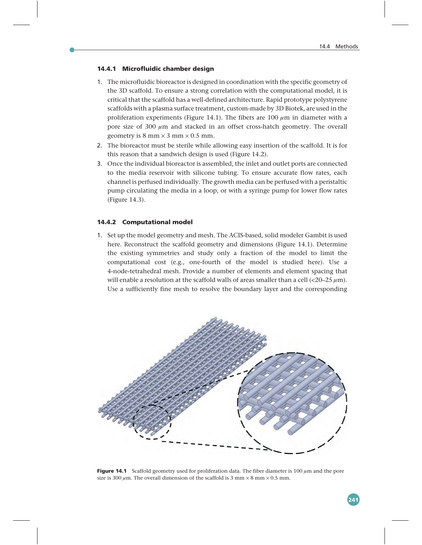#### **14.4.1 Microfluidic chamber design**

- 1. The microfluidic bioreactor is designed in coordination with the specific geometry of the 3D scaffold. To ensure a strong correlation with the computational model, it is critical that the scaffold has a well-defined architecture. Rapid prototype polystyrene scaffolds with a plasma surface treatment, custom-made by 3D Biotek, are used in the proliferation experiments (Figure 14.1). The fibers are 100  $\mu$ m in diameter with a pore size of 300  $\mu$ m and stacked in an offset cross-hatch geometry. The overall geometry is  $8 \text{ mm} \times 3 \text{ mm} \times 0.5 \text{ mm}$ .
- 2. The bioreactor must be sterile while allowing easy insertion of the scaffold. It is for this reason that a sandwich design is used (Figure 14.2).
- 3. Once the individual bioreactor is assembled, the inlet and outlet ports are connected to the media reservoir with silicone tubing. To ensure accurate flow rates, each channel is perfused individually. The growth media can be perfused with a peristaltic pump circulating the media in a loop, or with a syringe pump for lower flow rates (Figure 14.3).

## **14.4.2 Computational model**

1. Set up the model geometry and mesh. The ACIS-based, solid modeler Gambit is used here. Reconstruct the scaffold geometry and dimensions (Figure 14.1). Determine the existing symmetries and study only a fraction of the model to limit the computational cost (e.g., one-fourth of the model is studied here). Use a 4-node-tetrahedral mesh. Provide a number of elements and element spacing that will enable a resolution at the scaffold walls of areas smaller than a cell  $\left($  <20–25  $\mu$ m). Use a sufficiently fine mesh to resolve the boundary layer and the corresponding



**Figure 14.1** Scaffold geometry used for proliferation data. The fiber diameter is 100  $\mu$ m and the pore size is 300  $\mu$ m. The overall dimension of the scaffold is 3 mm  $\times$  8 mm  $\times$  0.5 mm.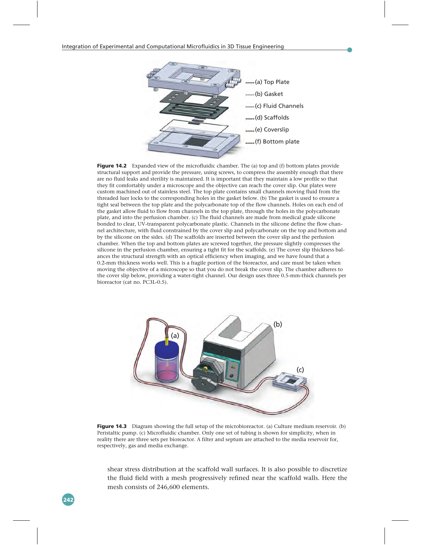

**Figure 14.2** Expanded view of the microfluidic chamber. The (a) top and (f) bottom plates provide structural support and provide the pressure, using screws, to compress the assembly enough that there are no fluid leaks and sterility is maintained. It is important that they maintain a low profile so that they fit comfortably under a microscope and the objective can reach the cover slip. Our plates were custom machined out of stainless steel. The top plate contains small channels moving fluid from the threaded luer locks to the corresponding holes in the gasket below. (b) The gasket is used to ensure a tight seal between the top plate and the polycarbonate top of the flow channels. Holes on each end of the gasket allow fluid to flow from channels in the top plate, through the holes in the polycarbonate plate, and into the perfusion chamber. (c) The fluid channels are made from medical grade silicone bonded to clear, UV-transparent polycarbonate plastic. Channels in the silicone define the flow channel architecture, with fluid constrained by the cover slip and polycarbonate on the top and bottom and by the silicone on the sides. (d) The scaffolds are inserted between the cover slip and the perfusion chamber. When the top and bottom plates are screwed together, the pressure slightly compresses the silicone in the perfusion chamber, ensuring a tight fit for the scaffolds. (e) The cover slip thickness balances the structural strength with an optical efficiency when imaging, and we have found that a 0.2-mm thickness works well. This is a fragile portion of the bioreactor, and care must be taken when moving the objective of a microscope so that you do not break the cover slip. The chamber adheres to the cover slip below, providing a water-tight channel. Our design uses three 0.5-mm-thick channels per bioreactor (cat no. PC3L-0.5).



**Figure 14.3** Diagram showing the full setup of the microbioreactor. (a) Culture medium reservoir. (b) Peristaltic pump. (c) Microfluidic chamber. Only one set of tubing is shown for simplicity, when in reality there are three sets per bioreactor. A filter and septum are attached to the media reservoir for, respectively, gas and media exchange.

shear stress distribution at the scaffold wall surfaces. It is also possible to discretize the fluid field with a mesh progressively refined near the scaffold walls. Here the mesh consists of 246,600 elements.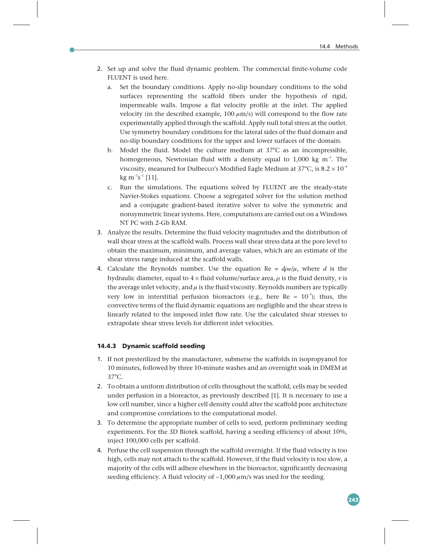- 2. Set up and solve the fluid dynamic problem. The commercial finite-volume code FLUENT is used here.
	- a. Set the boundary conditions. Apply no-slip boundary conditions to the solid surfaces representing the scaffold fibers under the hypothesis of rigid, impermeable walls. Impose a flat velocity profile at the inlet. The applied velocity (in the described example,  $100 \mu m/s$ ) will correspond to the flow rate experimentally applied through the scaffold. Apply null total stress at the outlet. Use symmetry boundary conditions for the lateral sides of the fluid domain and no-slip boundary conditions for the upper and lower surfaces of the domain.
	- b. Model the fluid. Model the culture medium at 37°C as an incompressible, homogeneous, Newtonian fluid with a density equal to 1,000 kg m<sup>-3</sup>. The viscosity, measured for Dulbecco's Modified Eagle Medium at 37°C, is  $8.2 \times 10^{-4}$  $kg m^{-1} s^{-1}$  [11].
	- c. Run the simulations. The equations solved by FLUENT are the steady-state Navier-Stokes equations. Choose a segregated solver for the solution method and a conjugate gradient-based iterative solver to solve the symmetric and nonsymmetric linear systems. Here, computations are carried out on a Windows NT PC with 2-Gb RAM.
- 3. Analyze the results. Determine the fluid velocity magnitudes and the distribution of wall shear stress at the scaffold walls. Process wall shear stress data at the pore level to obtain the maximum, minimum, and average values, which are an estimate of the shear stress range induced at the scaffold walls.
- 4. Calculate the Reynolds number. Use the equation Re =  $d\rho v/\mu$ , where *d* is the hydraulic diameter, equal to 4 × fluid volume/surface area, ρ is the fluid density, *v* is the average inlet velocity, and  $\mu$  is the fluid viscosity. Reynolds numbers are typically very low in interstitial perfusion bioreactors (e.g., here Re =  $10^{-3}$ ); thus, the convective terms of the fluid dynamic equations are negligible and the shear stress is linearly related to the imposed inlet flow rate. Use the calculated shear stresses to extrapolate shear stress levels for different inlet velocities.

#### **14.4.3 Dynamic scaffold seeding**

- 1. If not presterilized by the manufacturer, submerse the scaffolds in isopropyanol for 10 minutes, followed by three 10-minute washes and an overnight soak in DMEM at 37°C.
- 2. To obtain a uniform distribution of cells throughout the scaffold, cells may be seeded under perfusion in a bioreactor, as previously described [1]. It is necessary to use a low cell number, since a higher cell density could alter the scaffold pore architecture and compromise correlations to the computational model.
- 3. To determine the appropriate number of cells to seed, perform preliminary seeding experiments. For the 3D Biotek scaffold, having a seeding efficiency of about 10%, inject 100,000 cells per scaffold.
- 4. Perfuse the cell suspension through the scaffold overnight. If the fluid velocity is too high, cells may not attach to the scaffold. However, if the fluid velocity is too slow, a majority of the cells will adhere elsewhere in the bioreactor, significantly decreasing seeding efficiency. A fluid velocity of  $\sim$ 1,000  $\mu$ m/s was used for the seeding.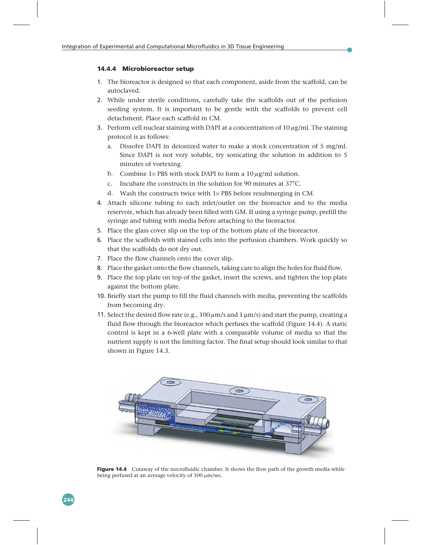#### **14.4.4 Microbioreactor setup**

- 1. The bioreactor is designed so that each component, aside from the scaffold, can be autoclaved.
- 2. While under sterile conditions, carefully take the scaffolds out of the perfusion seeding system. It is important to be gentle with the scaffolds to prevent cell detachment. Place each scaffold in CM.
- 3. Perform cell nuclear staining with DAPI at a concentration of  $10 \mu g/ml$ . The staining protocol is as follows:
	- a. Dissolve DAPI in deionized water to make a stock concentration of 5 mg/ml. Since DAPI is not very soluble, try sonicating the solution in addition to 5 minutes of vortexing.
	- b. Combine 1× PBS with stock DAPI to form a 10  $\mu$ g/ml solution.
	- c. Incubate the constructs in the solution for 90 minutes at 37°C.
	- d. Wash the constructs twice with  $1 \times PBS$  before resubmerging in CM.
- 4. Attach silicone tubing to each inlet/outlet on the bioreactor and to the media reservoir, which has already been filled with GM. If using a syringe pump, prefill the syringe and tubing with media before attaching to the bioreactor.
- 5. Place the glass cover slip on the top of the bottom plate of the bioreactor.
- 6. Place the scaffolds with stained cells into the perfusion chambers. Work quickly so that the scaffolds do not dry out.
- 7. Place the flow channels onto the cover slip.
- 8. Place the gasket onto the flow channels, taking care to align the holes for fluid flow.
- 9. Place the top plate on top of the gasket, insert the screws, and tighten the top plate against the bottom plate.
- 10. Briefly start the pump to fill the fluid channels with media, preventing the scaffolds from becoming dry.
- 11. Select the desired flow rate (e.g.,  $100 \mu m/s$  and  $1 \mu m/s$ ) and start the pump, creating a fluid flow through the bioreactor which perfuses the scaffold (Figure 14.4). A static control is kept in a 6-well plate with a comparable volume of media so that the nutrient supply is not the limiting factor. The final setup should look similar to that shown in Figure 14.3.



**Figure 14.4** Cutaway of the microfluidic chamber. It shows the flow path of the growth media while being perfused at an average velocity of  $100 \mu m/sec$ .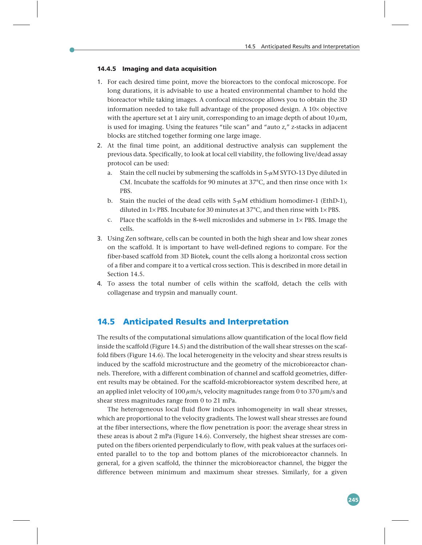#### **14.4.5 Imaging and data acquisition**

- 1. For each desired time point, move the bioreactors to the confocal microscope. For long durations, it is advisable to use a heated environmental chamber to hold the bioreactor while taking images. A confocal microscope allows you to obtain the 3D information needed to take full advantage of the proposed design. A 10× objective with the aperture set at 1 airy unit, corresponding to an image depth of about  $10 \mu m$ , is used for imaging. Using the features "tile scan" and "auto z," z-stacks in adjacent blocks are stitched together forming one large image.
- 2. At the final time point, an additional destructive analysis can supplement the previous data. Specifically, to look at local cell viability, the following live/dead assay protocol can be used:
	- a. Stain the cell nuclei by submersing the scaffolds in  $5-\mu$ M SYTO-13 Dye diluted in CM. Incubate the scaffolds for 90 minutes at 37°C, and then rinse once with  $1\times$ PBS.
	- b. Stain the nuclei of the dead cells with  $5-\mu M$  ethidium homodimer-1 (EthD-1), diluted in  $1\times$  PBS. Incubate for 30 minutes at 37°C, and then rinse with  $1\times$  PBS.
	- c. Place the scaffolds in the 8-well microslides and submerse in  $1\times$  PBS. Image the cells.
- 3. Using Zen software, cells can be counted in both the high shear and low shear zones on the scaffold. It is important to have well-defined regions to compare. For the fiber-based scaffold from 3D Biotek, count the cells along a horizontal cross section of a fiber and compare it to a vertical cross section. This is described in more detail in Section 14.5.
- 4. To assess the total number of cells within the scaffold, detach the cells with collagenase and trypsin and manually count.

## **14.5 Anticipated Results and Interpretation**

The results of the computational simulations allow quantification of the local flow field inside the scaffold (Figure 14.5) and the distribution of the wall shear stresses on the scaffold fibers (Figure 14.6). The local heterogeneity in the velocity and shear stress results is induced by the scaffold microstructure and the geometry of the microbioreactor channels. Therefore, with a different combination of channel and scaffold geometries, different results may be obtained. For the scaffold-microbioreactor system described here, at an applied inlet velocity of  $100 \mu m/s$ , velocity magnitudes range from 0 to  $370 \mu m/s$  and shear stress magnitudes range from 0 to 21 mPa.

The heterogeneous local fluid flow induces inhomogeneity in wall shear stresses, which are proportional to the velocity gradients. The lowest wall shear stresses are found at the fiber intersections, where the flow penetration is poor: the average shear stress in these areas is about 2 mPa (Figure 14.6). Conversely, the highest shear stresses are computed on the fibers oriented perpendicularly to flow, with peak values at the surfaces oriented parallel to to the top and bottom planes of the microbioreactor channels. In general, for a given scaffold, the thinner the microbioreactor channel, the bigger the difference between minimum and maximum shear stresses. Similarly, for a given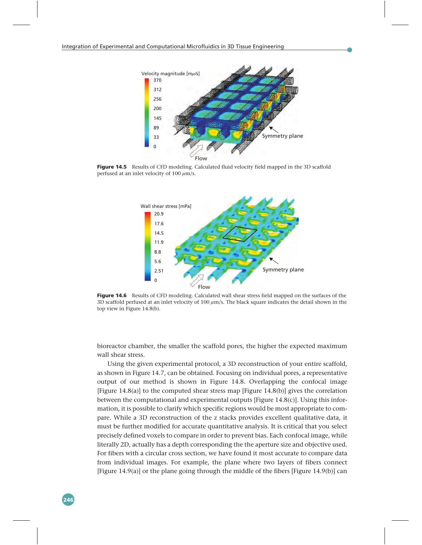

**Figure 14.5** Results of CFD modeling. Calculated fluid velocity field mapped in the 3D scaffold perfused at an inlet velocity of  $100 \mu m/s$ .



**Figure 14.6** Results of CFD modeling. Calculated wall shear stress field mapped on the surfaces of the 3D scaffold perfused at an inlet velocity of 100  $\mu$ m/s. The black square indicates the detail shown in the top view in Figure 14.8(b).

bioreactor chamber, the smaller the scaffold pores, the higher the expected maximum wall shear stress.

Using the given experimental protocol, a 3D reconstruction of your entire scaffold, as shown in Figure 14.7, can be obtained. Focusing on individual pores, a representative output of our method is shown in Figure 14.8. Overlapping the confocal image [Figure 14.8(a)] to the computed shear stress map [Figure 14.8(b)] gives the correlation between the computational and experimental outputs [Figure 14.8(c)]. Using this information, it is possible to clarify which specific regions would be most appropriate to compare. While a 3D reconstruction of the z stacks provides excellent qualitative data, it must be further modified for accurate quantitative analysis. It is critical that you select precisely defined voxels to compare in order to prevent bias. Each confocal image, while literally 2D, actually has a depth corresponding the the aperture size and objective used. For fibers with a circular cross section, we have found it most accurate to compare data from individual images. For example, the plane where two layers of fibers connect [Figure 14.9(a)] or the plane going through the middle of the fibers [Figure 14.9(b)] can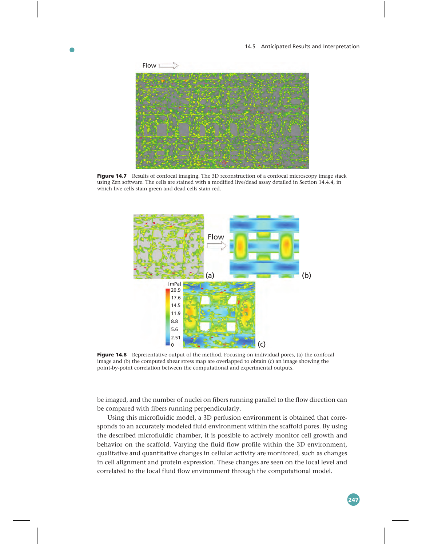

**Figure 14.7** Results of confocal imaging. The 3D reconstruction of a confocal microscopy image stack using Zen software. The cells are stained with a modified live/dead assay detailed in Section 14.4.4, in which live cells stain green and dead cells stain red.



**Figure 14.8** Representative output of the method. Focusing on individual pores, (a) the confocal image and (b) the computed shear stress map are overlapped to obtain (c) an image showing the point-by-point correlation between the computational and experimental outputs.

be imaged, and the number of nuclei on fibers running parallel to the flow direction can be compared with fibers running perpendicularly.

Using this microfluidic model, a 3D perfusion environment is obtained that corresponds to an accurately modeled fluid environment within the scaffold pores. By using the described microfluidic chamber, it is possible to actively monitor cell growth and behavior on the scaffold. Varying the fluid flow profile within the 3D environment, qualitative and quantitative changes in cellular activity are monitored, such as changes in cell alignment and protein expression. These changes are seen on the local level and correlated to the local fluid flow environment through the computational model.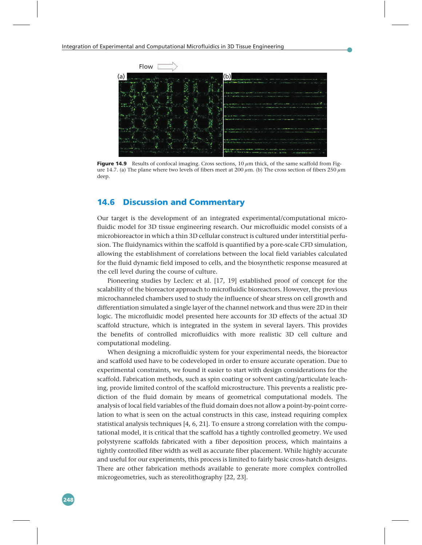

**Figure 14.9** Results of confocal imaging. Cross sections,  $10 \mu m$  thick, of the same scaffold from Figure 14.7. (a) The plane where two levels of fibers meet at 200  $\mu$ m. (b) The cross section of fibers 250  $\mu$ m deep.

## **14.6 Discussion and Commentary**

Our target is the development of an integrated experimental/computational microfluidic model for 3D tissue engineering research. Our microfluidic model consists of a microbioreactor in which a thin 3D cellular construct is cultured under interstitial perfusion. The fluidynamics within the scaffold is quantified by a pore-scale CFD simulation, allowing the establishment of correlations between the local field variables calculated for the fluid dynamic field imposed to cells, and the biosynthetic response measured at the cell level during the course of culture.

Pioneering studies by Leclerc et al. [17, 19] established proof of concept for the scalability of the bioreactor approach to microfluidic bioreactors. However, the previous microchanneled chambers used to study the influence of shear stress on cell growth and differentiation simulated a single layer of the channel network and thus were 2D in their logic. The microfluidic model presented here accounts for 3D effects of the actual 3D scaffold structure, which is integrated in the system in several layers. This provides the benefits of controlled microfluidics with more realistic 3D cell culture and computational modeling.

When designing a microfluidic system for your experimental needs, the bioreactor and scaffold used have to be codeveloped in order to ensure accurate operation. Due to experimental constraints, we found it easier to start with design considerations for the scaffold. Fabrication methods, such as spin coating or solvent casting/particulate leaching, provide limited control of the scaffold microstructure. This prevents a realistic prediction of the fluid domain by means of geometrical computational models. The analysis of local field variables of the fluid domain does not allow a point-by-point correlation to what is seen on the actual constructs in this case, instead requiring complex statistical analysis techniques [4, 6, 21]. To ensure a strong correlation with the computational model, it is critical that the scaffold has a tightly controlled geometry. We used polystyrene scaffolds fabricated with a fiber deposition process, which maintains a tightly controlled fiber width as well as accurate fiber placement. While highly accurate and useful for our experiments, this process is limited to fairly basic cross-hatch designs. There are other fabrication methods available to generate more complex controlled microgeometries, such as stereolithography [22, 23].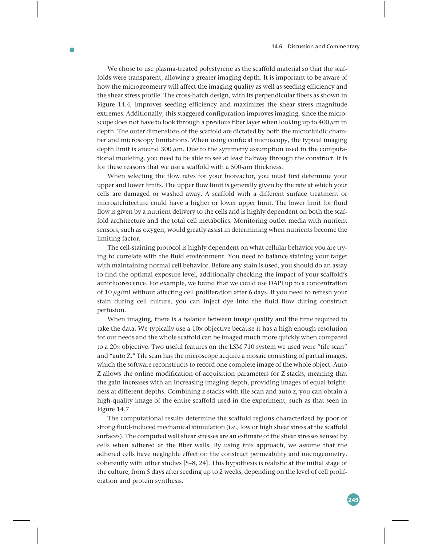We chose to use plasma-treated polystyrene as the scaffold material so that the scaffolds were transparent, allowing a greater imaging depth. It is important to be aware of how the microgeometry will affect the imaging quality as well as seeding efficiency and the shear stress profile. The cross-hatch design, with its perpendicular fibers as shown in Figure 14.4, improves seeding efficiency and maximizes the shear stress magnitude extremes. Additionally, this staggered configuration improves imaging, since the microscope does not have to look through a previous fiber layer when looking up to  $400 \mu m$  in depth. The outer dimensions of the scaffold are dictated by both the microfluidic chamber and microscopy limitations. When using confocal microscopy, the typical imaging depth limit is around 300  $\mu$ m. Due to the symmetry assumption used in the computational modeling, you need to be able to see at least halfway through the construct. It is for these reasons that we use a scaffold with a  $500$ - $\mu$ m thickness.

When selecting the flow rates for your bioreactor, you must first determine your upper and lower limits. The upper flow limit is generally given by the rate at which your cells are damaged or washed away. A scaffold with a different surface treatment or microarchitecture could have a higher or lower upper limit. The lower limit for fluid flow is given by a nutrient delivery to the cells and is highly dependent on both the scaffold architecture and the total cell metabolics. Monitoring outlet media with nutrient sensors, such as oxygen, would greatly assist in determining when nutrients become the limiting factor.

The cell-staining protocol is highly dependent on what cellular behavior you are trying to correlate with the fluid environment. You need to balance staining your target with maintaining normal cell behavior. Before any stain is used, you should do an assay to find the optimal exposure level, additionally checking the impact of your scaffold's autofluorescence. For example, we found that we could use DAPI up to a concentration of 10  $\mu$ g/ml without affecting cell proliferation after 6 days. If you need to refresh your stain during cell culture, you can inject dye into the fluid flow during construct perfusion.

When imaging, there is a balance between image quality and the time required to take the data. We typically use a  $10\times$  objective because it has a high enough resolution for our needs and the whole scaffold can be imaged much more quickly when compared to a 20× objective. Two useful features on the LSM 710 system we used were "tile scan" and "auto Z." Tile scan has the microscope acquire a mosaic consisting of partial images, which the software reconstructs to record one complete image of the whole object. Auto Z allows the online modification of acquisition parameters for Z stacks, meaning that the gain increases with an increasing imaging depth, providing images of equal brightness at different depths. Combining z-stacks with tile scan and auto z, you can obtain a high-quality image of the entire scaffold used in the experiment, such as that seen in Figure 14.7.

The computational results determine the scaffold regions characterized by poor or strong fluid-induced mechanical stimulation (i.e., low or high shear stress at the scaffold surfaces). The computed wall shear stresses are an estimate of the shear stresses sensed by cells when adhered at the fiber walls. By using this approach, we assume that the adhered cells have negligible effect on the construct permeability and microgeometry, coherently with other studies [5–8, 24]. This hypothesis is realistic at the initial stage of the culture, from 5 days after seeding up to 2 weeks, depending on the level of cell proliferation and protein synthesis.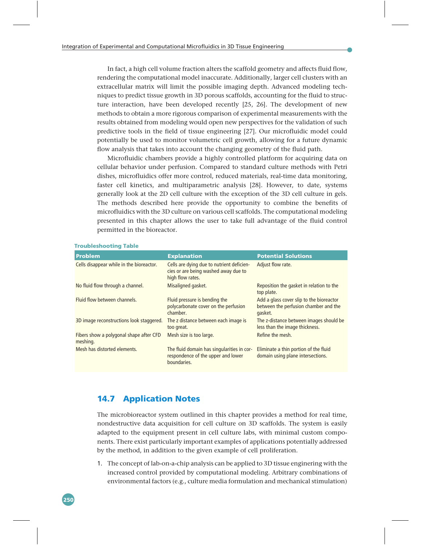In fact, a high cell volume fraction alters the scaffold geometry and affects fluid flow, rendering the computational model inaccurate. Additionally, larger cell clusters with an extracellular matrix will limit the possible imaging depth. Advanced modeling techniques to predict tissue growth in 3D porous scaffolds, accounting for the fluid to structure interaction, have been developed recently [25, 26]. The development of new methods to obtain a more rigorous comparison of experimental measurements with the results obtained from modeling would open new perspectives for the validation of such predictive tools in the field of tissue engineering [27]. Our microfluidic model could potentially be used to monitor volumetric cell growth, allowing for a future dynamic flow analysis that takes into account the changing geometry of the fluid path.

Microfluidic chambers provide a highly controlled platform for acquiring data on cellular behavior under perfusion. Compared to standard culture methods with Petri dishes, microfluidics offer more control, reduced materials, real-time data monitoring, faster cell kinetics, and multiparametric analysis [28]. However, to date, systems generally look at the 2D cell culture with the exception of the 3D cell culture in gels. The methods described here provide the opportunity to combine the benefits of microfluidics with the 3D culture on various cell scaffolds. The computational modeling presented in this chapter allows the user to take full advantage of the fluid control permitted in the bioreactor.

| <b>Problem</b>                                      | <b>Explanation</b>                                                                                    | <b>Potential Solutions</b>                                                                   |
|-----------------------------------------------------|-------------------------------------------------------------------------------------------------------|----------------------------------------------------------------------------------------------|
| Cells disappear while in the bioreactor.            | Cells are dying due to nutrient deficien-<br>cies or are being washed away due to<br>high flow rates. | Adjust flow rate.                                                                            |
| No fluid flow through a channel.                    | Misaligned gasket.                                                                                    | Reposition the gasket in relation to the<br>top plate.                                       |
| Fluid flow between channels.                        | Fluid pressure is bending the<br>polycarbonate cover on the perfusion<br>chamber.                     | Add a glass cover slip to the bioreactor<br>between the perfusion chamber and the<br>gasket. |
| 3D image reconstructions look staggered.            | The z distance between each image is<br>too great.                                                    | The z-distance between images should be<br>less than the image thickness.                    |
| Fibers show a polygonal shape after CFD<br>meshing. | Mesh size is too large.                                                                               | Refine the mesh.                                                                             |
| Mesh has distorted elements.                        | The fluid domain has singularities in cor-<br>respondence of the upper and lower<br>boundaries.       | Eliminate a thin portion of the fluid<br>domain using plane intersections.                   |

#### **Troubleshooting Table**

# **14.7 Application Notes**

The microbioreactor system outlined in this chapter provides a method for real time, nondestructive data acquisition for cell culture on 3D scaffolds. The system is easily adapted to the equipment present in cell culture labs, with minimal custom components. There exist particularly important examples of applications potentially addressed by the method, in addition to the given example of cell proliferation.

1. The concept of lab-on-a-chip analysis can be applied to 3D tissue enginering with the increased control provided by computational modeling. Arbitrary combinations of environmental factors (e.g., culture media formulation and mechanical stimulation)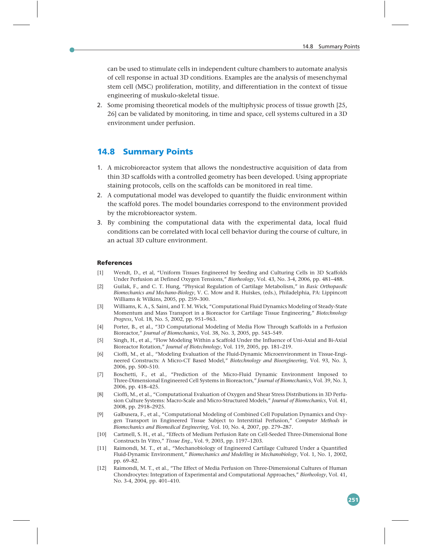can be used to stimulate cells in independent culture chambers to automate analysis of cell response in actual 3D conditions. Examples are the analysis of mesenchymal stem cell (MSC) proliferation, motility, and differentiation in the context of tissue engineering of muskulo-skeletal tissue.

2. Some promising theoretical models of the multiphysic process of tissue growth [25, 26] can be validated by monitoring, in time and space, cell systems cultured in a 3D environment under perfusion.

## **14.8 Summary Points**

- 1. A microbioreactor system that allows the nondestructive acquisition of data from thin 3D scaffolds with a controlled geometry has been developed. Using appropriate staining protocols, cells on the scaffolds can be monitored in real time.
- 2. A computational model was developed to quantify the fluidic environment within the scaffold pores. The model boundaries correspond to the environment provided by the microbioreactor system.
- 3. By combining the computational data with the experimental data, local fluid conditions can be correlated with local cell behavior during the course of culture, in an actual 3D culture environment.

#### **References**

- [1] Wendt, D., et al, "Uniform Tissues Engineered by Seeding and Culturing Cells in 3D Scaffolds Under Perfusion at Defined Oxygen Tensions," *Biorheology*, Vol. 43, No. 3-4, 2006, pp. 481–488.
- [2] Guilak, F., and C. T. Hung, "Physical Regulation of Cartilage Metabolism," in *Basic Orthopaedic Biomechanics and Mechano-Biology*, V. C. Mow and R. Huiskes, (eds.), Philadelphia, PA: Lippincott Williams & Wilkins, 2005, pp. 259–300.
- [3] Williams, K. A., S. Saini, and T. M. Wick, "Computational Fluid Dynamics Modeling of Steady-State Momentum and Mass Transport in a Bioreactor for Cartilage Tissue Engineering," *Biotechnology Progress*, Vol. 18, No. 5, 2002, pp. 951–963.
- [4] Porter, B., et al., "3D Computational Modeling of Media Flow Through Scaffolds in a Perfusion Bioreactor," *Journal of Biomechanics*, Vol. 38, No. 3, 2005, pp. 543–549.
- [5] Singh, H., et al., "Flow Modeling Within a Scaffold Under the Influence of Uni-Axial and Bi-Axial Bioreactor Rotation," *Journal of Biotechnology*, Vol. 119, 2005, pp. 181–219.
- [6] Cioffi, M., et al., "Modeling Evaluation of the Fluid-Dynamic Microenvironment in Tissue-Engineered Constructs: A Micro-CT Based Model," *Biotechnology and Bioengineering*, Vol. 93, No. 3, 2006, pp. 500–510.
- [7] Boschetti, F., et al., "Prediction of the Micro-Fluid Dynamic Environment Imposed to Three-Dimensional Engineered Cell Systems in Bioreactors," *Journal of Biomechanics*, Vol. 39, No. 3, 2006, pp. 418–425.
- [8] Cioffi, M., et al., "Computational Evaluation of Oxygen and Shear Stress Distributions in 3D Perfusion Culture Systems: Macro-Scale and Micro-Structured Models," *Journal of Biomechanics*, Vol. 41, 2008, pp. 2918–2925.
- [9] Galbusera, F., et al., "Computational Modeling of Combined Cell Population Dynamics and Oxygen Transport in Engineered Tissue Subject to Interstitial Perfusion," *Computer Methods in Biomechanics and Biomedical Engineering*, Vol. 10, No. 4, 2007, pp. 279–287.
- [10] Cartmell, S. H., et al., "Effects of Medium Perfusion Rate on Cell-Seeded Three-Dimensional Bone Constructs In Vitro," *Tissue Eng.*, Vol. 9, 2003, pp. 1197–1203.
- [11] Raimondi, M. T., et al., "Mechanobiology of Engineered Cartilage Cultured Under a Quantified Fluid-Dynamic Environment," *Biomechanics and Modelling in Mechanobiology*, Vol. 1, No. 1, 2002, pp. 69–82.
- [12] Raimondi, M. T., et al., "The Effect of Media Perfusion on Three-Dimensional Cultures of Human Chondrocytes: Integration of Experimental and Computational Approaches," *Biorheology*, Vol. 41, No. 3-4, 2004, pp. 401–410.

25<sup>\*</sup>